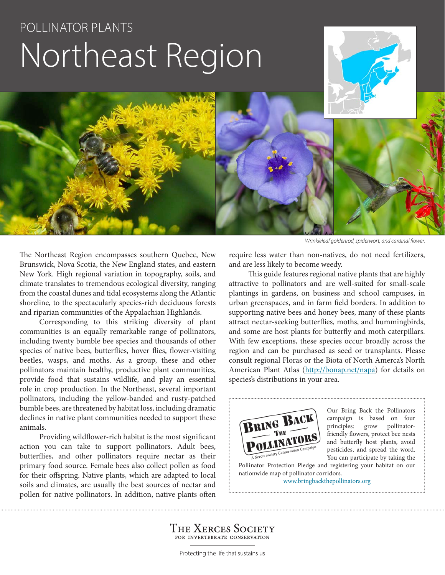# POLLINATOR PLANTS Northeast Region





The Northeast Region encompasses southern Quebec, New Brunswick, Nova Scotia, the New England states, and eastern New York. High regional variation in topography, soils, and climate translates to tremendous ecological diversity, ranging from the coastal dunes and tidal ecosystems along the Atlantic shoreline, to the spectacularly species-rich deciduous forests and riparian communities of the Appalachian Highlands.

Corresponding to this striking diversity of plant communities is an equally remarkable range of pollinators, including twenty bumble bee species and thousands of other species of native bees, butterflies, hover flies, flower-visiting beetles, wasps, and moths. As a group, these and other pollinators maintain healthy, productive plant communities, provide food that sustains wildlife, and play an essential role in crop production. In the Northeast, several important pollinators, including the yellow-banded and rusty-patched bumble bees, are threatened by habitat loss, including dramatic declines in native plant communities needed to support these animals.

Providing wildflower-rich habitat is the most significant action you can take to support pollinators. Adult bees, butterflies, and other pollinators require nectar as their primary food source. Female bees also collect pollen as food for their offspring. Native plants, which are adapted to local soils and climates, are usually the best sources of nectar and pollen for native pollinators. In addition, native plants often

*Wrinkleleaf goldenrod, spiderwort, and cardinal flower.*

require less water than non-natives, do not need fertilizers, and are less likely to become weedy.

This guide features regional native plants that are highly attractive to pollinators and are well-suited for small-scale plantings in gardens, on business and school campuses, in urban greenspaces, and in farm field borders. In addition to supporting native bees and honey bees, many of these plants attract nectar-seeking butterflies, moths, and hummingbirds, and some are host plants for butterfly and moth caterpillars. With few exceptions, these species occur broadly across the region and can be purchased as seed or transplants. Please consult regional Floras or the Biota of North Amerca's North American Plant Atlas (http://bonap.net/napa) for details on species's distributions in your area.



Our Bring Back the Pollinators campaign is based on four principles: grow pollinatorfriendly flowers, protect bee nests and butterfly host plants, avoid pesticides, and spread the word. You can participate by taking the

Pollinator Protection Pledge and registering your habitat on our nationwide map of pollinator corridors. www.bringbackthepollinators.org

THE XERCES SOCIETY FOR INVERTEBRATE CONSERVATION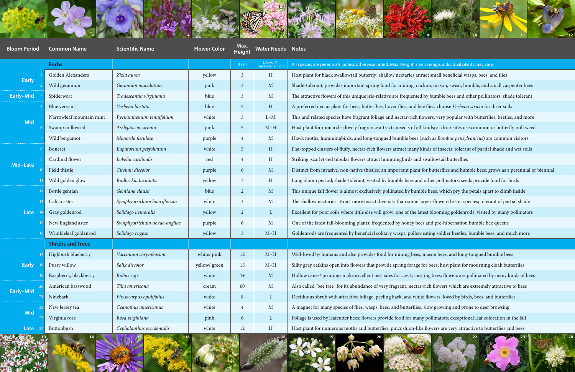

| $\sqrt{64.3}$ $7.44$<br><b>10</b><br><b>ANGEL CALL 9</b><br>11 <sup>1</sup> |                          |                              |                     |                       |                               |                                                                                                                                   |
|-----------------------------------------------------------------------------|--------------------------|------------------------------|---------------------|-----------------------|-------------------------------|-----------------------------------------------------------------------------------------------------------------------------------|
| <b>Bloom Period</b>                                                         | <b>Common Name</b>       | <b>Scientific Name</b>       | <b>Flower Color</b> | Max.<br><b>Height</b> | <b>Water Needs Notes</b>      |                                                                                                                                   |
|                                                                             | <b>Forbs</b>             |                              |                     | (Feet)                | L: low; M:<br>medium; H: high | All species are perennials, unless otherwise noted. Max. Height is an average, individual plants may vary.                        |
| <b>Early</b>                                                                | Golden Alexanders        | Zizia aurea                  | yellow              | $\overline{3}$        | H                             | Host plant for black swallowtail butterfly; shallow nectaries attract small beneficial wasps, bees, and flies                     |
|                                                                             | Wild geranium            | Geranium maculatum           | pink                | $\mathbf{3}$          | $M_{\odot}$                   | Shade-tolerant; provides important spring food for mining, cuckoo, mason, sweat, bumble, and small carpenter bees                 |
| Early-Mid                                                                   | Spiderwort               | Tradescantia virginiana      | blue                | $\overline{3}$        | $M_{\odot}$                   | The attractive flowers of this unique iris-relative are frequented by bumble bees and other pollinators; shade tolerant           |
| <b>Mid</b>                                                                  | Blue vervain             | Verbena hastata              | blue                | $5\phantom{.}$        | H                             | A preferred nectar plant for bees, butterflies, hover flies, and bee flies; choose Verbena stricta for drier soils                |
|                                                                             | Narrowleaf mountain mint | Pycnanthemum tenuifolium     | white               | $\mathfrak{Z}$        | $L-M$                         | This and related species have fragrant foliage and nectar-rich flowers; very popular with butterflies, beetles, and more          |
|                                                                             | Swamp milkweed           | Asclepias incarnata          | pink                | $5\overline{)}$       | $M-H$                         | Host plant for monarchs; lovely fragrance attracts insects of all kinds; at drier sites use common or butterfly milkweed          |
|                                                                             | Wild bergamot            | Monarda fistulosa            | purple              | $\overline{4}$        | $M_{\odot}$                   | Hawk moths, hummingbirds, and long-tongued bumble bees (such as <i>Bombus pensylvanicus</i> ) are common visitors                 |
| Mid-Late                                                                    | <b>Boneset</b>           | Eupatorium perfoliatum       | white               | $5\overline{)}$       | H                             | Flat-topped clusters of fluffy, nectar-rich flowers attract many kinds of insects; tolerant of partial shade and wet soils        |
|                                                                             | Cardinal flower          | Lobelia cardinalis           | red                 | $\overline{4}$        | H                             | Striking, scarlet-red tubular flowers attract hummingbirds and swallowtail butterflies                                            |
|                                                                             | Field thistle            | Cirsium discolor             | purple              | 6                     | M                             | Distinct from invasive, non-native thistles; an important plant for butterflies and bumble bees; grows as a perennial or biennial |
|                                                                             | Wild golden glow         | Rudbeckia laciniata          | yellow              | 7                     | H                             | Long bloom period; shade-tolerant; visited by bumble bees and other pollinators; seeds provide food for birds                     |
| Late                                                                        | Bottle gentian           | Gentiana clausa              | blue                | $\overline{2}$        | M                             | This unique fall flower is almost exclusively pollinated by bumble bees, which pry the petals apart to climb inside               |
|                                                                             | Calico aster             | Symphyotrichum lateriflorum  | white               | $\overline{3}$        | M                             | The shallow nectaries attract more insect diversity than some larger-flowered aster species; tolerant of partial shade            |
|                                                                             | Gray goldenrod           | Solidago nemoralis           | yellow              | $\overline{2}$        | $\mathbf{L}$                  | Excellent for poor soils where little else will grow; one of the latest blooming goldenrods; visited by many pollinators          |
|                                                                             | New England aster        | Symphyotrichum novae-angliae | purple              | 6                     | $M_{\odot}$                   | One of the latest fall-blooming plants; frequented by honey bees and pre-hibernation bumble bee queens                            |
|                                                                             | Wrinkleleaf goldenrod    | Solidago rugosa              | yellow              | $\mathfrak{Z}$        | $M-H$                         | Goldenrods are frequented by beneficial solitary wasps, pollen-eating soldier beetles, bumble bees, and much more                 |
|                                                                             | <b>Shrubs and Trees</b>  |                              |                     |                       |                               |                                                                                                                                   |
| <b>Early</b>                                                                | Highbush blueberry       | Vaccinium corymbosum         | white/ pink         | 12                    | $M-H$                         | Well-loved by humans and also provides food for mining bees, mason bees, and long-tongued bumble bees                             |
|                                                                             | Pussy willow             | Salix discolor               | yellow/ green       | 15                    | $M-H$                         | Silky gray catkins open into flowers that provide spring forage for bees; host plant for mourning cloak butterflies               |
|                                                                             | Raspberry, blackberry    | Rubus spp.                   | white               | $4+$                  | M                             | Hollow canes/ prunings make excellent nest sites for cavity-nesting bees; flowers are pollinated by many kinds of bees            |
| <b>Early-Mid</b>                                                            | American basswood        | Tilia americana              | cream               | 60                    | $M_{\odot}$                   | Also called "bee tree" for its abundance of very fragrant, nectar-rich flowers which are extremely attractive to bees             |
|                                                                             | Ninebark                 | Physocarpus opulifolius      | white               | 8                     | $\mathbf{L}$                  | Deciduous shrub with attractive foliage, peeling bark, and white flowers; loved by birds, bees, and butterflies                   |
| <b>Mid</b>                                                                  | New Jersey tea           | Ceanothus americanus         | white               | $\overline{4}$        | $M_{\odot}$                   | A magnet for many species of flies, wasps, bees, and butterflies; slow growing and prone to deer browsing                         |
|                                                                             | Virginia rose            | Rosa virginiana              | pink                | 6                     | $\mathbf{L}$                  | Foliage is used by leafcutter bees; flowers provide food for many pollinators; exceptional leaf coloration in the fall            |
| Late                                                                        | Buttonbush               | Cephalanthus occidentalis    | white               | 12                    | H                             | Host plant for numerous moths and butterflies; pincushion-like flowers are very attractive to butterflies and bees                |





#### average, individual plants may vary.